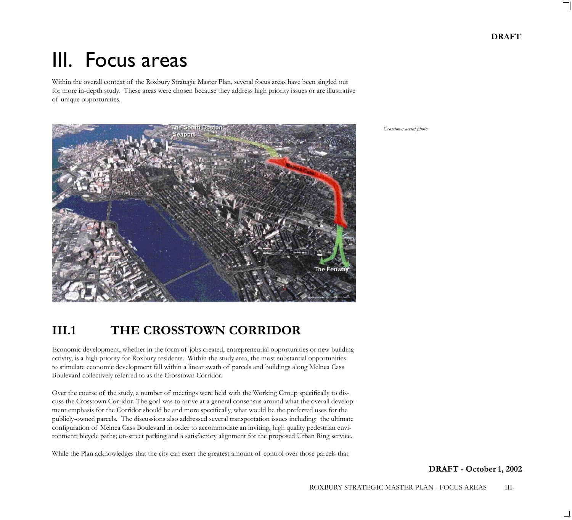# III. Focus areas

Within the overall context of the Roxbury Strategic Master Plan, several focus areas have been singled out for more in-depth study. These areas were chosen because they address high priority issues or are illustrative of unique opportunities.

*Crosstown aerial photo*



# **III.1 THE CROSSTOWN CORRIDOR**

Economic development, whether in the form of jobs created, entrepreneurial opportunities or new building activity, is a high priority for Roxbury residents. Within the study area, the most substantial opportunities to stimulate economic development fall within a linear swath of parcels and buildings along Melnea Cass Boulevard collectively referred to as the Crosstown Corridor.

Over the course of the study, a number of meetings were held with the Working Group specifically to discuss the Crosstown Corridor. The goal was to arrive at a general consensus around what the overall development emphasis for the Corridor should be and more specifically, what would be the preferred uses for the publicly-owned parcels. The discussions also addressed several transportation issues including: the ultimate configuration of Melnea Cass Boulevard in order to accommodate an inviting, high quality pedestrian environment; bicycle paths; on-street parking and a satisfactory alignment for the proposed Urban Ring service.

While the Plan acknowledges that the city can exert the greatest amount of control over those parcels that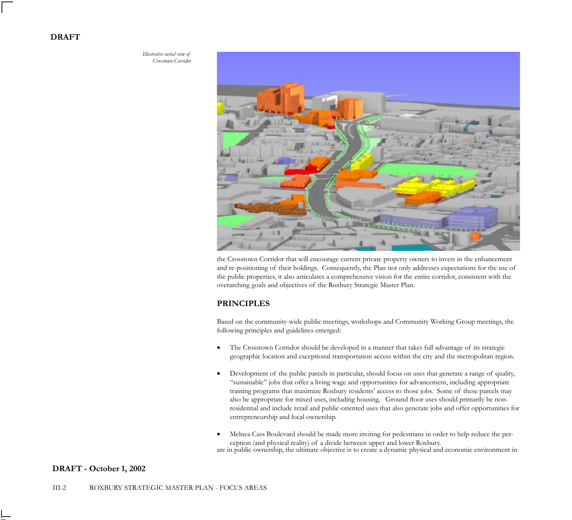*Illustrative aerial view of Crosstown Corridor*



the Crosstown Corridor that will encourage current private property owners to invest in the enhancement and re-positioning of their holdings. Consequently, the Plan not only addresses expectations for the use of the public properties, it also articulates a comprehensive vision for the entire corridor, consistent with the overarching goals and objectives of the Roxbury Strategic Master Plan.

## **PRINCIPLES**

Based on the community-wide public meetings, workshops and Community Working Group meetings, the following principles and guidelines emerged:

- The Crosstown Corridor should be developed in a manner that takes full advantage of its strategic geographic location and exceptional transportation access within the city and the metropolitan region.
- Development of the public parcels in particular, should focus on uses that generate a range of quality, "sustainable" jobs that offer a living wage and opportunities for advancement, including appropriate training programs that maximize Roxbury residents' access to those jobs. Some of these parcels may also be appropriate for mixed uses, including housing. Ground floor uses should primarily be nonresidential and include retail and public-oriented uses that also generate jobs and offer opportunities for entrepreneurship and local ownership.
- Melnea Cass Boulevard should be made more inviting for pedestrians in order to help reduce the perception (and physical reality) of a divide between upper and lower Roxbury.

are in public ownership, the ultimate objective is to create a dynamic physical and economic environment in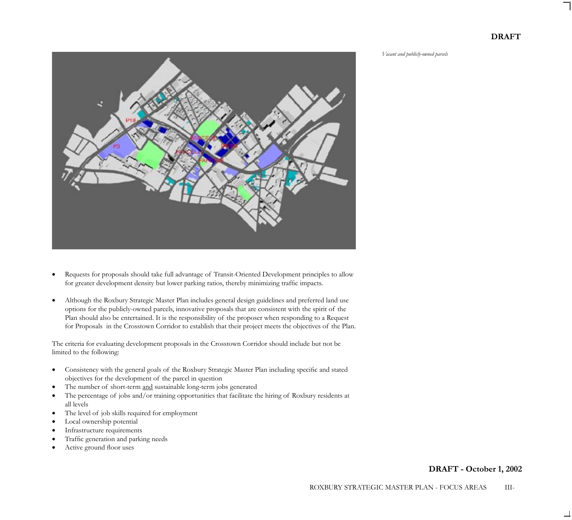*Vacant and publicly-owned parcels*



- Requests for proposals should take full advantage of Transit-Oriented Development principles to allow for greater development density but lower parking ratios, thereby minimizing traffic impacts.
- Although the Roxbury Strategic Master Plan includes general design guidelines and preferred land use options for the publicly-owned parcels, innovative proposals that are consistent with the spirit of the Plan should also be entertained. It is the responsibility of the proposer when responding to a Request for Proposals in the Crosstown Corridor to establish that their project meets the objectives of the Plan.

The criteria for evaluating development proposals in the Crosstown Corridor should include but not be limited to the following:

- Consistency with the general goals of the Roxbury Strategic Master Plan including specific and stated objectives for the development of the parcel in question
- The number of short-term and sustainable long-term jobs generated
- The percentage of jobs and/or training opportunities that facilitate the hiring of Roxbury residents at all levels
- The level of job skills required for employment
- Local ownership potential
- Infrastructure requirements
- Traffic generation and parking needs
- Active ground floor uses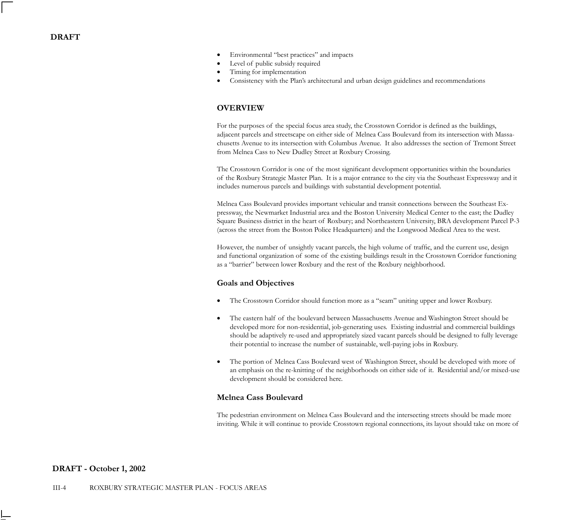- Environmental "best practices" and impacts
- Level of public subsidy required
- Timing for implementation
- Consistency with the Plan's architectural and urban design guidelines and recommendations

# **OVERVIEW**

For the purposes of the special focus area study, the Crosstown Corridor is defined as the buildings, adjacent parcels and streetscape on either side of Melnea Cass Boulevard from its intersection with Massachusetts Avenue to its intersection with Columbus Avenue. It also addresses the section of Tremont Street from Melnea Cass to New Dudley Street at Roxbury Crossing.

The Crosstown Corridor is one of the most significant development opportunities within the boundaries of the Roxbury Strategic Master Plan. It is a major entrance to the city via the Southeast Expressway and it includes numerous parcels and buildings with substantial development potential.

Melnea Cass Boulevard provides important vehicular and transit connections between the Southeast Expressway, the Newmarket Industrial area and the Boston University Medical Center to the east; the Dudley Square Business district in the heart of Roxbury; and Northeastern University, BRA development Parcel P-3 (across the street from the Boston Police Headquarters) and the Longwood Medical Area to the west.

However, the number of unsightly vacant parcels, the high volume of traffic, and the current use, design and functional organization of some of the existing buildings result in the Crosstown Corridor functioning as a "barrier" between lower Roxbury and the rest of the Roxbury neighborhood.

#### **Goals and Objectives**

- The Crosstown Corridor should function more as a "seam" uniting upper and lower Roxbury.
- The eastern half of the boulevard between Massachusetts Avenue and Washington Street should be developed more for non-residential, job-generating uses. Existing industrial and commercial buildings should be adaptively re-used and appropriately sized vacant parcels should be designed to fully leverage their potential to increase the number of sustainable, well-paying jobs in Roxbury.
- The portion of Melnea Cass Boulevard west of Washington Street, should be developed with more of an emphasis on the re-knitting of the neighborhoods on either side of it. Residential and/or mixed-use development should be considered here.

#### **Melnea Cass Boulevard**

The pedestrian environment on Melnea Cass Boulevard and the intersecting streets should be made more inviting. While it will continue to provide Crosstown regional connections, its layout should take on more of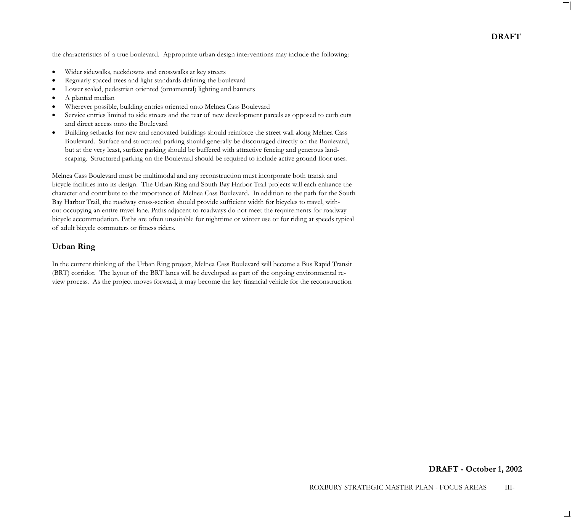the characteristics of a true boulevard. Appropriate urban design interventions may include the following:

- Wider sidewalks, neckdowns and crosswalks at key streets
- Regularly spaced trees and light standards defining the boulevard
- Lower scaled, pedestrian oriented (ornamental) lighting and banners
- A planted median
- Wherever possible, building entries oriented onto Melnea Cass Boulevard
- Service entries limited to side streets and the rear of new development parcels as opposed to curb cuts and direct access onto the Boulevard
- Building setbacks for new and renovated buildings should reinforce the street wall along Melnea Cass Boulevard. Surface and structured parking should generally be discouraged directly on the Boulevard, but at the very least, surface parking should be buffered with attractive fencing and generous landscaping. Structured parking on the Boulevard should be required to include active ground floor uses.

Melnea Cass Boulevard must be multimodal and any reconstruction must incorporate both transit and bicycle facilities into its design. The Urban Ring and South Bay Harbor Trail projects will each enhance the character and contribute to the importance of Melnea Cass Boulevard. In addition to the path for the South Bay Harbor Trail, the roadway cross-section should provide sufficient width for bicycles to travel, without occupying an entire travel lane. Paths adjacent to roadways do not meet the requirements for roadway bicycle accommodation. Paths are often unsuitable for nighttime or winter use or for riding at speeds typical of adult bicycle commuters or fitness riders.

#### **Urban Ring**

In the current thinking of the Urban Ring project, Melnea Cass Boulevard will become a Bus Rapid Transit (BRT) corridor. The layout of the BRT lanes will be developed as part of the ongoing environmental review process. As the project moves forward, it may become the key financial vehicle for the reconstruction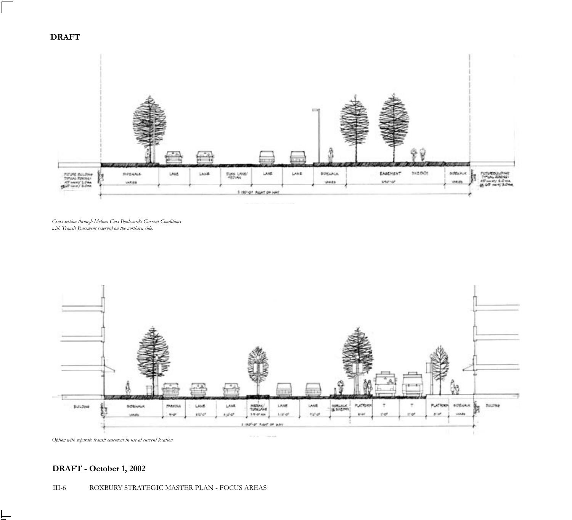

*Cross section through Melnea Cass Boulevard's Current Conditions with Transit Easement reserved on the northern side.*



*Option with separate transit easement in use at current location*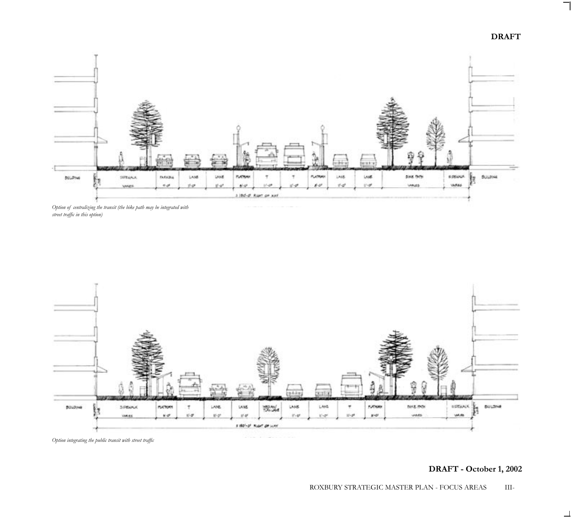



*Option of centralizing the transit (the bike path may be integrated with street traffic in this option)*



*Option integrating the public transit with street traffic*

**DRAFT - October 1, 2002**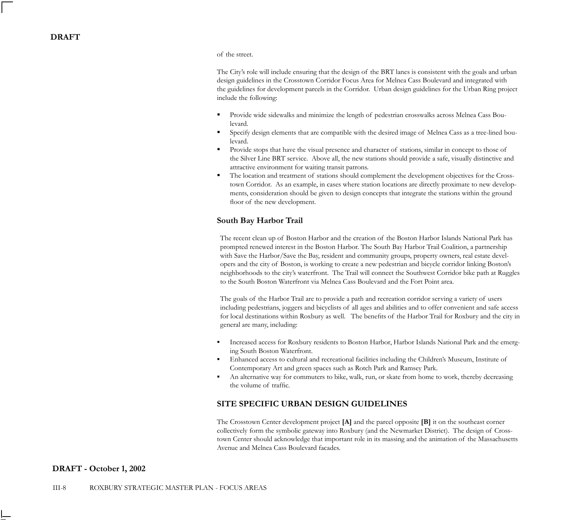#### of the street.

The City's role will include ensuring that the design of the BRT lanes is consistent with the goals and urban design guidelines in the Crosstown Corridor Focus Area for Melnea Cass Boulevard and integrated with the guidelines for development parcels in the Corridor. Urban design guidelines for the Urban Ring project include the following:

- **•** Provide wide sidewalks and minimize the length of pedestrian crosswalks across Melnea Cass Boulevard.
- Specify design elements that are compatible with the desired image of Melnea Cass as a tree-lined boulevard.
- Provide stops that have the visual presence and character of stations, similar in concept to those of the Silver Line BRT service. Above all, the new stations should provide a safe, visually distinctive and attractive environment for waiting transit patrons.
- The location and treatment of stations should complement the development objectives for the Crosstown Corridor. As an example, in cases where station locations are directly proximate to new developments, consideration should be given to design concepts that integrate the stations within the ground floor of the new development.

#### **South Bay Harbor Trail**

The recent clean up of Boston Harbor and the creation of the Boston Harbor Islands National Park has prompted renewed interest in the Boston Harbor. The South Bay Harbor Trail Coalition, a partnership with Save the Harbor/Save the Bay, resident and community groups, property owners, real estate developers and the city of Boston, is working to create a new pedestrian and bicycle corridor linking Boston's neighborhoods to the city's waterfront. The Trail will connect the Southwest Corridor bike path at Ruggles to the South Boston Waterfront via Melnea Cass Boulevard and the Fort Point area.

The goals of the Harbor Trail are to provide a path and recreation corridor serving a variety of users including pedestrians, joggers and bicyclists of all ages and abilities and to offer convenient and safe access for local destinations within Roxbury as well. The benefits of the Harbor Trail for Roxbury and the city in general are many, including:

- Increased access for Roxbury residents to Boston Harbor, Harbor Islands National Park and the emerging South Boston Waterfront.
- Enhanced access to cultural and recreational facilities including the Children's Museum, Institute of Contemporary Art and green spaces such as Rotch Park and Ramsey Park.
- An alternative way for commuters to bike, walk, run, or skate from home to work, thereby decreasing the volume of traffic.

# **SITE SPECIFIC URBAN DESIGN GUIDELINES**

The Crosstown Center development project **[A]** and the parcel opposite **[B]** it on the southeast corner collectively form the symbolic gateway into Roxbury (and the Newmarket District). The design of Crosstown Center should acknowledge that important role in its massing and the animation of the Massachusetts Avenue and Melnea Cass Boulevard facades.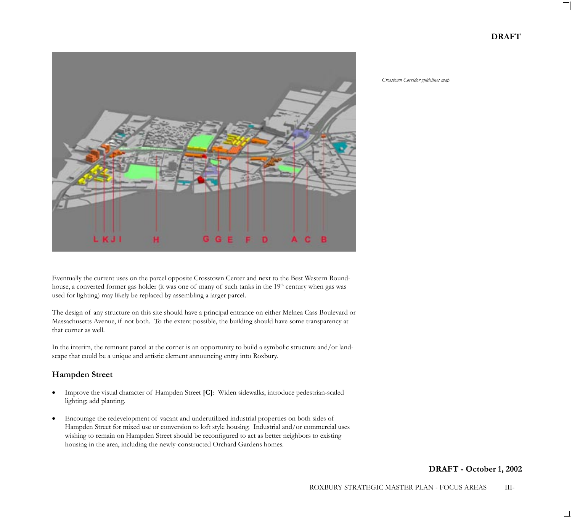

Eventually the current uses on the parcel opposite Crosstown Center and next to the Best Western Roundhouse, a converted former gas holder (it was one of many of such tanks in the 19<sup>th</sup> century when gas was used for lighting) may likely be replaced by assembling a larger parcel.

The design of any structure on this site should have a principal entrance on either Melnea Cass Boulevard or Massachusetts Avenue, if not both. To the extent possible, the building should have some transparency at that corner as well.

In the interim, the remnant parcel at the corner is an opportunity to build a symbolic structure and/or landscape that could be a unique and artistic element announcing entry into Roxbury.

# **Hampden Street**

- Improve the visual character of Hampden Street **[C]**: Widen sidewalks, introduce pedestrian-scaled lighting; add planting.
- Encourage the redevelopment of vacant and underutilized industrial properties on both sides of Hampden Street for mixed use or conversion to loft style housing. Industrial and/or commercial uses wishing to remain on Hampden Street should be reconfigured to act as better neighbors to existing housing in the area, including the newly-constructed Orchard Gardens homes.

*Crosstown Corridor guidelines map*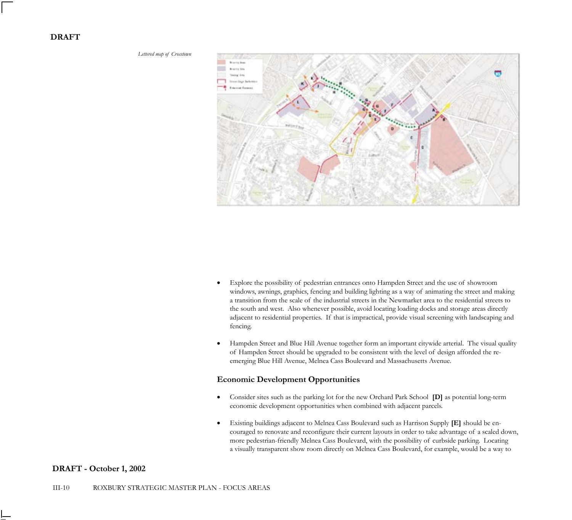

- Explore the possibility of pedestrian entrances onto Hampden Street and the use of showroom windows, awnings, graphics, fencing and building lighting as a way of animating the street and making a transition from the scale of the industrial streets in the Newmarket area to the residential streets to the south and west. Also whenever possible, avoid locating loading docks and storage areas directly adjacent to residential properties. If that is impractical, provide visual screening with landscaping and fencing.
- Hampden Street and Blue Hill Avenue together form an important citywide arterial. The visual quality of Hampden Street should be upgraded to be consistent with the level of design afforded the reemerging Blue Hill Avenue, Melnea Cass Boulevard and Massachusetts Avenue.

#### **Economic Development Opportunities**

- Consider sites such as the parking lot for the new Orchard Park School **[D]** as potential long-term economic development opportunities when combined with adjacent parcels.
- Existing buildings adjacent to Melnea Cass Boulevard such as Harrison Supply **[E]** should be encouraged to renovate and reconfigure their current layouts in order to take advantage of a scaled down, more pedestrian-friendly Melnea Cass Boulevard, with the possibility of curbside parking. Locating a visually transparent show room directly on Melnea Cass Boulevard, for example, would be a way to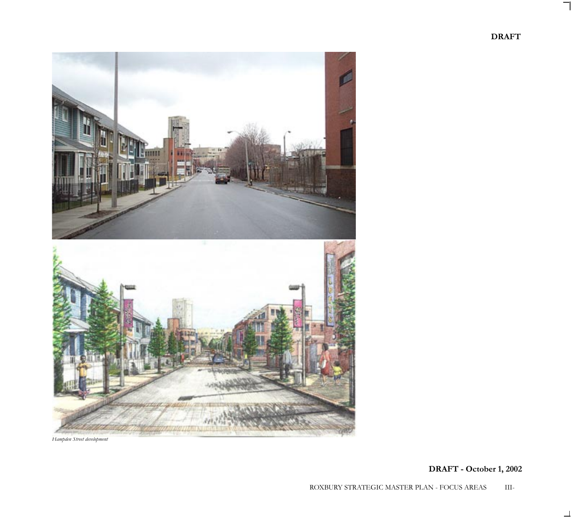

*Hampden Street development*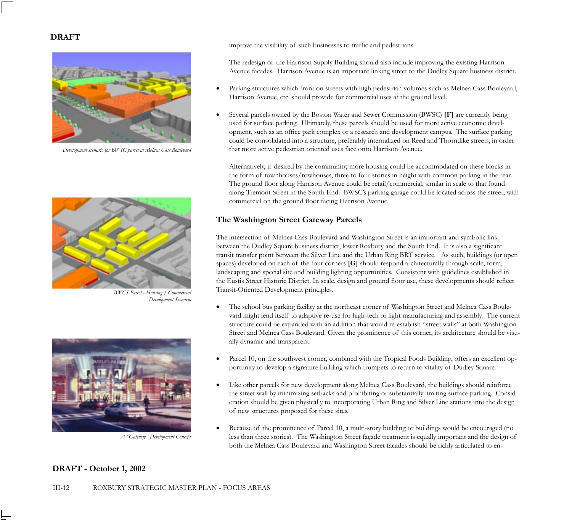

*Development scenario for BWSC parcel at Melnea Cass Boulevard*



*BWCS Parcel - Housing / Commercial Development Scenario*



*A "Gateway" Development Concept*

improve the visibility of such businesses to traffic and pedestrians.

The redesign of the Harrison Supply Building should also include improving the existing Harrison Avenue facades. Harrison Avenue is an important linking street to the Dudley Square business district.

- Parking structures which front on streets with high pedestrian volumes such as Melnea Cass Boulevard, Harrison Avenue, etc. should provide for commercial uses at the ground level.
- Several parcels owned by the Boston Water and Sewer Commission (BWSC) **[F]** are currently being used for surface parking. Ultimately, these parcels should be used for more active economic development, such as an office park complex or a research and development campus. The surface parking could be consolidated into a structure, preferably internalized on Reed and Thorndike streets, in order that more active pedestrian oriented uses face onto Harrison Avenue.

Alternatively, if desired by the community, more housing could be accommodated on these blocks in the form of townhouses/rowhouses, three to four stories in height with common parking in the rear. The ground floor along Harrison Avenue could be retail/commercial, similar in scale to that found along Tremont Street in the South End. BWSC's parking garage could be located across the street, with commercial on the ground floor facing Harrison Avenue.

# **The Washington Street Gateway Parcels**

The intersection of Melnea Cass Boulevard and Washington Street is an important and symbolic link between the Dudley Square business district, lower Roxbury and the South End. It is also a significant transit transfer point between the Silver Line and the Urban Ring BRT service. As such, buildings (or open spaces) developed on each of the four corners **[G]** should respond architecturally through scale, form, landscaping and special site and building lighting opportunities. Consistent with guidelines established in the Eustis Street Historic District. In scale, design and ground floor use, these developments should reflect Transit-Oriented Development principles.

- The school bus parking facility at the northeast corner of Washington Street and Melnea Cass Boulevard might lend itself to adaptive re-use for high-tech or light manufacturing and assembly. The current structure could be expanded with an addition that would re-establish "street walls" at both Washington Street and Melnea Cass Boulevard. Given the prominence of this corner, its architecture should be visually dynamic and transparent.
- Parcel 10, on the southwest corner, combined with the Tropical Foods Building, offers an excellent opportunity to develop a signature building which trumpets to return to vitality of Dudley Square.
- Like other parcels for new development along Melnea Cass Boulevard, the buildings should reinforce the street wall by minimizing setbacks and prohibiting or substantially limiting surface parking. Consideration should be given physically to incorporating Urban Ring and Silver Line stations into the design of new structures proposed for these sites.
- Because of the prominence of Parcel 10, a multi-story building or buildings would be encouraged (no less than three stories). The Washington Street façade treatment is equally important and the design of both the Melnea Cass Boulevard and Washington Street facades should be richly articulated to en-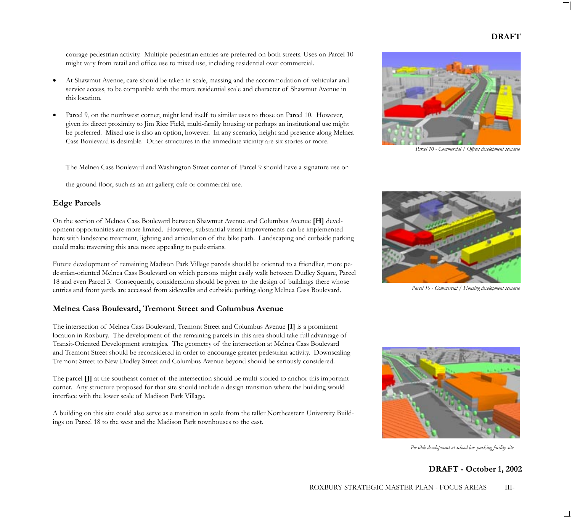courage pedestrian activity. Multiple pedestrian entries are preferred on both streets. Uses on Parcel 10 might vary from retail and office use to mixed use, including residential over commercial.

- At Shawmut Avenue, care should be taken in scale, massing and the accommodation of vehicular and service access, to be compatible with the more residential scale and character of Shawmut Avenue in this location.
- Parcel 9, on the northwest corner, might lend itself to similar uses to those on Parcel 10. However, given its direct proximity to Jim Rice Field, multi-family housing or perhaps an institutional use might be preferred. Mixed use is also an option, however. In any scenario, height and presence along Melnea Cass Boulevard is desirable. Other structures in the immediate vicinity are six stories or more.

The Melnea Cass Boulevard and Washington Street corner of Parcel 9 should have a signature use on

the ground floor, such as an art gallery, cafe or commercial use.

#### **Edge Parcels**

On the section of Melnea Cass Boulevard between Shawmut Avenue and Columbus Avenue **[H]** development opportunities are more limited. However, substantial visual improvements can be implemented here with landscape treatment, lighting and articulation of the bike path. Landscaping and curbside parking could make traversing this area more appealing to pedestrians.

Future development of remaining Madison Park Village parcels should be oriented to a friendlier, more pedestrian-oriented Melnea Cass Boulevard on which persons might easily walk between Dudley Square, Parcel 18 and even Parcel 3. Consequently, consideration should be given to the design of buildings there whose entries and front yards are accessed from sidewalks and curbside parking along Melnea Cass Boulevard.

#### **Melnea Cass Boulevard, Tremont Street and Columbus Avenue**

The intersection of Melnea Cass Boulevard, Tremont Street and Columbus Avenue **[I]** is a prominent location in Roxbury. The development of the remaining parcels in this area should take full advantage of Transit-Oriented Development strategies. The geometry of the intersection at Melnea Cass Boulevard and Tremont Street should be reconsidered in order to encourage greater pedestrian activity. Downscaling Tremont Street to New Dudley Street and Columbus Avenue beyond should be seriously considered.

The parcel **[J]** at the southeast corner of the intersection should be multi-storied to anchor this important corner. Any structure proposed for that site should include a design transition where the building would interface with the lower scale of Madison Park Village.

A building on this site could also serve as a transition in scale from the taller Northeastern University Buildings on Parcel 18 to the west and the Madison Park townhouses to the east.



*Parcel 10 - Commercial / Offices development scenario*



*Parcel 10 - Commercial / Housing development scenario*



*Possible development at school bus parking facility site*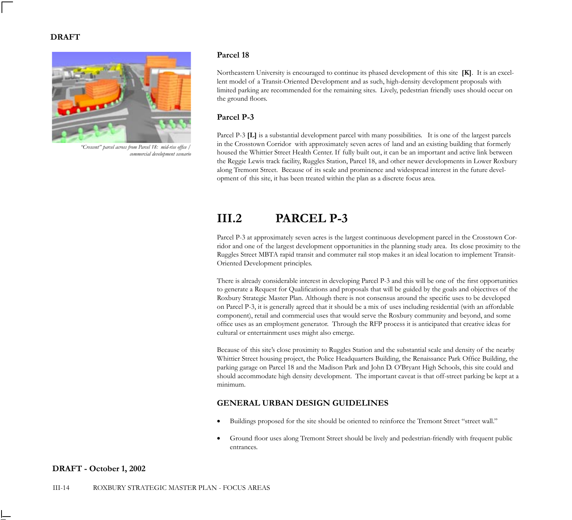

*"Crescent" parcel across from Parcel 18: mid-rise office / commercial development scenario*

#### **Parcel 18**

Northeastern University is encouraged to continue its phased development of this site **[K]**. It is an excellent model of a Transit-Oriented Development and as such, high-density development proposals with limited parking are recommended for the remaining sites. Lively, pedestrian friendly uses should occur on the ground floors.

# **Parcel P-3**

Parcel P-3 **[L]** is a substantial development parcel with many possibilities. It is one of the largest parcels in the Crosstown Corridor with approximately seven acres of land and an existing building that formerly housed the Whittier Street Health Center. If fully built out, it can be an important and active link between the Reggie Lewis track facility, Ruggles Station, Parcel 18, and other newer developments in Lower Roxbury along Tremont Street. Because of its scale and prominence and widespread interest in the future development of this site, it has been treated within the plan as a discrete focus area.

# **III.2 PARCEL P-3**

Parcel P-3 at approximately seven acres is the largest continuous development parcel in the Crosstown Corridor and one of the largest development opportunities in the planning study area. Its close proximity to the Ruggles Street MBTA rapid transit and commuter rail stop makes it an ideal location to implement Transit-Oriented Development principles.

There is already considerable interest in developing Parcel P-3 and this will be one of the first opportunities to generate a Request for Qualifications and proposals that will be guided by the goals and objectives of the Roxbury Strategic Master Plan. Although there is not consensus around the specific uses to be developed on Parcel P-3, it is generally agreed that it should be a mix of uses including residential (with an affordable component), retail and commercial uses that would serve the Roxbury community and beyond, and some office uses as an employment generator. Through the RFP process it is anticipated that creative ideas for cultural or entertainment uses might also emerge.

Because of this site's close proximity to Ruggles Station and the substantial scale and density of the nearby Whittier Street housing project, the Police Headquarters Building, the Renaissance Park Office Building, the parking garage on Parcel 18 and the Madison Park and John D. O'Bryant High Schools, this site could and should accommodate high density development. The important caveat is that off-street parking be kept at a minimum.

# **GENERAL URBAN DESIGN GUIDELINES**

- Buildings proposed for the site should be oriented to reinforce the Tremont Street "street wall."
- Ground floor uses along Tremont Street should be lively and pedestrian-friendly with frequent public entrances.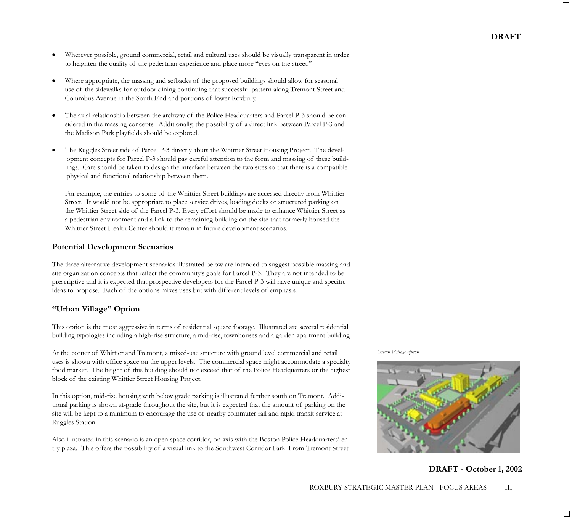- Wherever possible, ground commercial, retail and cultural uses should be visually transparent in order to heighten the quality of the pedestrian experience and place more "eyes on the street."
- Where appropriate, the massing and setbacks of the proposed buildings should allow for seasonal use of the sidewalks for outdoor dining continuing that successful pattern along Tremont Street and Columbus Avenue in the South End and portions of lower Roxbury.
- The axial relationship between the archway of the Police Headquarters and Parcel P-3 should be considered in the massing concepts. Additionally, the possibility of a direct link between Parcel P-3 and the Madison Park playfields should be explored.
- The Ruggles Street side of Parcel P-3 directly abuts the Whittier Street Housing Project. The development concepts for Parcel P-3 should pay careful attention to the form and massing of these buildings. Care should be taken to design the interface between the two sites so that there is a compatible physical and functional relationship between them.

For example, the entries to some of the Whittier Street buildings are accessed directly from Whittier Street. It would not be appropriate to place service drives, loading docks or structured parking on the Whittier Street side of the Parcel P-3. Every effort should be made to enhance Whittier Street as a pedestrian environment and a link to the remaining building on the site that formerly housed the Whittier Street Health Center should it remain in future development scenarios.

# **Potential Development Scenarios**

The three alternative development scenarios illustrated below are intended to suggest possible massing and site organization concepts that reflect the community's goals for Parcel P-3. They are not intended to be prescriptive and it is expected that prospective developers for the Parcel P-3 will have unique and specific ideas to propose. Each of the options mixes uses but with different levels of emphasis.

# **"Urban Village" Option**

This option is the most aggressive in terms of residential square footage. Illustrated are several residential building typologies including a high-rise structure, a mid-rise, townhouses and a garden apartment building.

At the corner of Whittier and Tremont, a mixed-use structure with ground level commercial and retail uses is shown with office space on the upper levels. The commercial space might accommodate a specialty food market. The height of this building should not exceed that of the Police Headquarters or the highest block of the existing Whittier Street Housing Project.

In this option, mid-rise housing with below grade parking is illustrated further south on Tremont. Additional parking is shown at-grade throughout the site, but it is expected that the amount of parking on the site will be kept to a minimum to encourage the use of nearby commuter rail and rapid transit service at Ruggles Station.

Also illustrated in this scenario is an open space corridor, on axis with the Boston Police Headquarters' entry plaza. This offers the possibility of a visual link to the Southwest Corridor Park. From Tremont Street

*Urban Village option*



**DRAFT - October 1, 2002**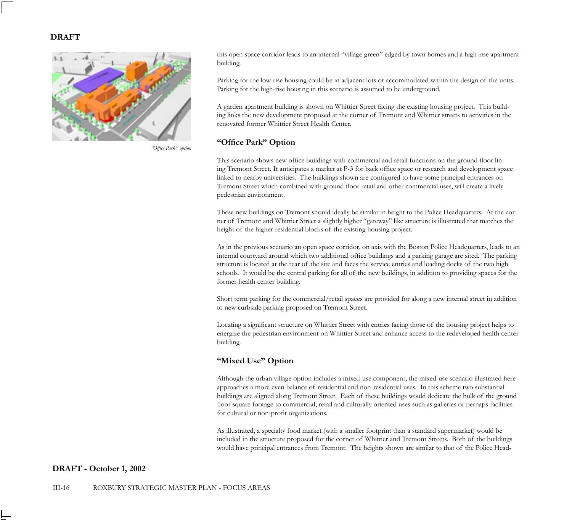

*"Office Park" option*

this open space corridor leads to an internal "village green" edged by town homes and a high-rise apartment building.

Parking for the low-rise housing could be in adjacent lots or accommodated within the design of the units. Parking for the high-rise housing in this scenario is assumed to be underground.

A garden apartment building is shown on Whittier Street facing the existing housing project. This building links the new development proposed at the corner of Tremont and Whittier streets to activities in the renovated former Whittier Street Health Center.

## **"Office Park" Option**

This scenario shows new office buildings with commercial and retail functions on the ground floor lining Tremont Street. It anticipates a market at P-3 for back office space or research and development space linked to nearby universities. The buildings shown are configured to have some principal entrances on Tremont Street which combined with ground floor retail and other commercial uses, will create a lively pedestrian environment.

These new buildings on Tremont should ideally be similar in height to the Police Headquarters. At the corner of Tremont and Whittier Street a slightly higher "gateway" like structure is illustrated that matches the height of the higher residential blocks of the existing housing project.

As in the previous scenario an open space corridor, on axis with the Boston Police Headquarters, leads to an internal courtyard around which two additional office buildings and a parking garage are sited. The parking structure is located at the rear of the site and faces the service entries and loading docks of the two high schools. It would be the central parking for all of the new buildings, in addition to providing spaces for the former health center building.

Short term parking for the commercial/retail spaces are provided for along a new internal street in addition to new curbside parking proposed on Tremont Street.

Locating a significant structure on Whittier Street with entries facing those of the housing project helps to energize the pedestrian environment on Whittier Street and enhance access to the redeveloped health center building.

## **"Mixed Use" Option**

Although the urban village option includes a mixed-use component, the mixed-use scenario illustrated here approaches a more even balance of residential and non-residential uses. In this scheme two substantial buildings are aligned along Tremont Street. Each of these buildings would dedicate the bulk of the ground floor square footage to commercial, retail and culturally oriented uses such as galleries or perhaps facilities for cultural or non-profit organizations.

As illustrated, a specialty food market (with a smaller footprint than a standard supermarket) would be included in the structure proposed for the corner of Whittier and Tremont Streets. Both of the buildings would have principal entrances from Tremont. The heights shown are similar to that of the Police Head-